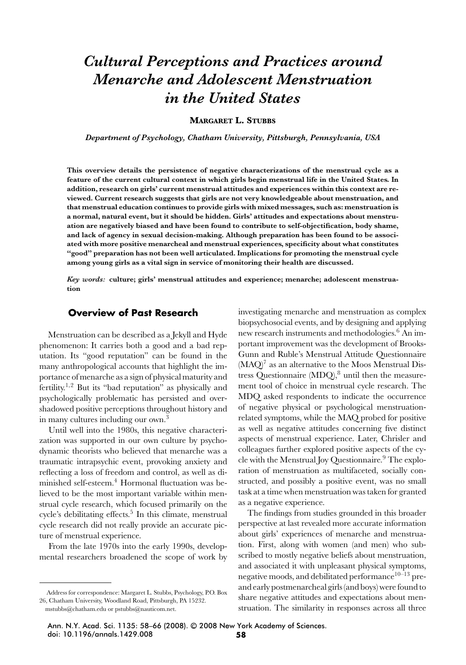# *Cultural Perceptions and Practices around Menarche and Adolescent Menstruation in the United States*

### **MARGARET L. STUBBS**

*Department of Psychology, Chatham University, Pittsburgh, Pennsylvania, USA*

**This overview details the persistence of negative characterizations of the menstrual cycle as a feature of the current cultural context in which girls begin menstrual life in the United States. In addition, research on girls' current menstrual attitudes and experiences within this context are reviewed. Current research suggests that girls are not very knowledgeable about menstruation, and that menstrual education continues to provide girls with mixed messages, such as: menstruation is a normal, natural event, but it should be hidden. Girls' attitudes and expectations about menstruation are negatively biased and have been found to contribute to self-objectification, body shame, and lack of agency in sexual decision-making. Although preparation has been found to be associated with more positive menarcheal and menstrual experiences, specificity about what constitutes "good" preparation has not been well articulated. Implications for promoting the menstrual cycle among young girls as a vital sign in service of monitoring their health are discussed.**

*Key words:* **culture; girls' menstrual attitudes and experience; menarche; adolescent menstruation**

# **Overview of Past Research**

Menstruation can be described as a Jekyll and Hyde phenomenon: It carries both a good and a bad reputation. Its "good reputation" can be found in the many anthropological accounts that highlight the importance of menarche as a sign of physical maturity and fertility.<sup>1</sup>*,*<sup>2</sup> But its "bad reputation" as physically and psychologically problematic has persisted and overshadowed positive perceptions throughout history and in many cultures including our own.<sup>3</sup>

Until well into the 1980s, this negative characterization was supported in our own culture by psychodynamic theorists who believed that menarche was a traumatic intrapsychic event, provoking anxiety and reflecting a loss of freedom and control, as well as diminished self-esteem.4 Hormonal fluctuation was believed to be the most important variable within menstrual cycle research, which focused primarily on the cycle's debilitating effects.<sup>5</sup> In this climate, menstrual cycle research did not really provide an accurate picture of menstrual experience.

From the late 1970s into the early 1990s, developmental researchers broadened the scope of work by investigating menarche and menstruation as complex biopsychosocial events, and by designing and applying new research instruments and methodologies.<sup>6</sup> An important improvement was the development of Brooks-Gunn and Ruble's Menstrual Attitude Questionnaire  $(MAQ)^7$  as an alternative to the Moos Menstrual Distress Questionnaire  $(MDO)$ , <sup>8</sup> until then the measurement tool of choice in menstrual cycle research. The MDQ asked respondents to indicate the occurrence of negative physical or psychological menstruationrelated symptoms, while the MAQ probed for positive as well as negative attitudes concerning five distinct aspects of menstrual experience. Later, Chrisler and colleagues further explored positive aspects of the cycle with the Menstrual Joy Questionnaire.<sup>9</sup> The exploration of menstruation as multifaceted, socially constructed, and possibly a positive event, was no small task at a time when menstruation was taken for granted as a negative experience.

The findings from studies grounded in this broader perspective at last revealed more accurate information about girls' experiences of menarche and menstruation. First, along with women (and men) who subscribed to mostly negative beliefs about menstruation, and associated it with unpleasant physical symptoms, negative moods, and debilitated performance $10-13$  preand early postmenarcheal girls (and boys) were found to share negative attitudes and expectations about menstruation. The similarity in responses across all three

Ann. N.Y. Acad. Sci. 1135: 58–66 (2008). © 2008 New York Academy of Sciences. doi: 10.1196/annals.1429.008 **58**

Address for correspondence: Margaret L. Stubbs, Psychology, P.O. Box 26, Chatham University, Woodland Road, Pittsburgh, PA 15232.

mstubbs@chatham.edu or pstubbs@nauticom.net.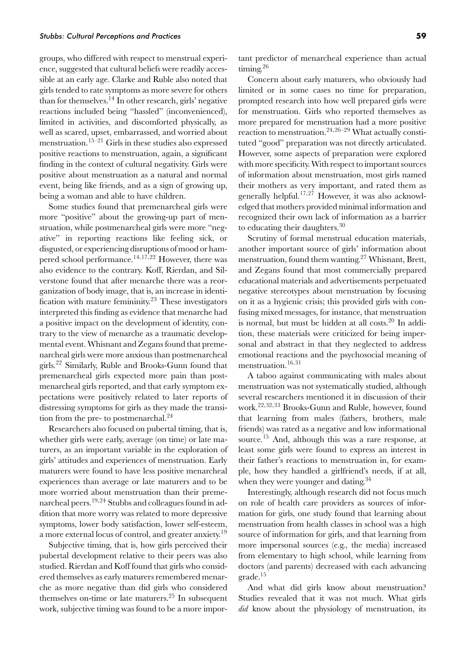groups, who differed with respect to menstrual experience, suggested that cultural beliefs were readily accessible at an early age. Clarke and Ruble also noted that girls tended to rate symptoms as more severe for others than for themselves. $^{14}$  In other research, girls' negative reactions included being "hassled" (inconvenienced), limited in activities, and discomforted physically, as well as scared, upset, embarrassed, and worried about menstruation.15–21 Girls in these studies also expressed positive reactions to menstruation, again, a significant finding in the context of cultural negativity. Girls were positive about menstruation as a natural and normal event, being like friends, and as a sign of growing up, being a woman and able to have children.

Some studies found that premenarcheal girls were more "positive" about the growing-up part of menstruation, while postmenarcheal girls were more "negative" in reporting reactions like feeling sick, or disgusted, or experiencing disruptions of mood or hampered school performance.14*,*17*,*<sup>22</sup> However, there was also evidence to the contrary. Koff, Rierdan, and Silverstone found that after menarche there was a reorganization of body image, that is, an increase in identification with mature femininity. $23$  These investigators interpreted this finding as evidence that menarche had a positive impact on the development of identity, contrary to the view of menarche as a traumatic developmental event. Whisnant and Zegans found that premenarcheal girls were more anxious than postmenarcheal girls.<sup>22</sup> Similarly, Ruble and Brooks-Gunn found that premenarcheal girls expected more pain than postmenarcheal girls reported, and that early symptom expectations were positively related to later reports of distressing symptoms for girls as they made the transition from the pre- to postmenarchal.<sup>24</sup>

Researchers also focused on pubertal timing, that is, whether girls were early, average (on time) or late maturers, as an important variable in the exploration of girls' attitudes and experiences of menstruation. Early maturers were found to have less positive menarcheal experiences than average or late maturers and to be more worried about menstruation than their premenarcheal peers.<sup>19</sup>*,*<sup>24</sup> Stubbs and colleagues found in addition that more worry was related to more depressive symptoms, lower body satisfaction, lower self-esteem, a more external locus of control, and greater anxiety.<sup>19</sup>

Subjective timing, that is, how girls perceived their pubertal development relative to their peers was also studied. Rierdan and Koff found that girls who considered themselves as early maturers remembered menarche as more negative than did girls who considered themselves on-time or late maturers. $25$  In subsequent work, subjective timing was found to be a more important predictor of menarcheal experience than actual timing.<sup>26</sup>

Concern about early maturers, who obviously had limited or in some cases no time for preparation, prompted research into how well prepared girls were for menstruation. Girls who reported themselves as more prepared for menstruation had a more positive reaction to menstruation.24*,*26–29 What actually constituted "good" preparation was not directly articulated. However, some aspects of preparation were explored with more specificity. With respect to important sources of information about menstruation, most girls named their mothers as very important, and rated them as generally helpful.<sup>17</sup>*,*<sup>27</sup> However, it was also acknowledged that mothers provided minimal information and recognized their own lack of information as a barrier to educating their daughters.<sup>30</sup>

Scrutiny of formal menstrual education materials, another important source of girls' information about menstruation, found them wanting.<sup>27</sup> Whisnant, Brett, and Zegans found that most commercially prepared educational materials and advertisements perpetuated negative stereotypes about menstruation by focusing on it as a hygienic crisis; this provided girls with confusing mixed messages, for instance, that menstruation is normal, but must be hidden at all costs.<sup>20</sup> In addition, these materials were criticized for being impersonal and abstract in that they neglected to address emotional reactions and the psychosocial meaning of menstruation.<sup>16</sup>*,*<sup>31</sup>

A taboo against communicating with males about menstruation was not systematically studied, although several researchers mentioned it in discussion of their work.<sup>22</sup>*,*32*,*<sup>33</sup> Brooks-Gunn and Ruble, however, found that learning from males (fathers, brothers, male friends) was rated as a negative and low informational source.<sup>15</sup> And, although this was a rare response, at least some girls were found to express an interest in their father's reactions to menstruation in, for example, how they handled a girlfriend's needs, if at all, when they were younger and dating.<sup>34</sup>

Interestingly, although research did not focus much on role of health care providers as sources of information for girls, one study found that learning about menstruation from health classes in school was a high source of information for girls, and that learning from more impersonal sources (e.g., the media) increased from elementary to high school, while learning from doctors (and parents) decreased with each advancing grade.<sup>15</sup>

And what did girls know about menstruation? Studies revealed that it was not much. What girls *did* know about the physiology of menstruation, its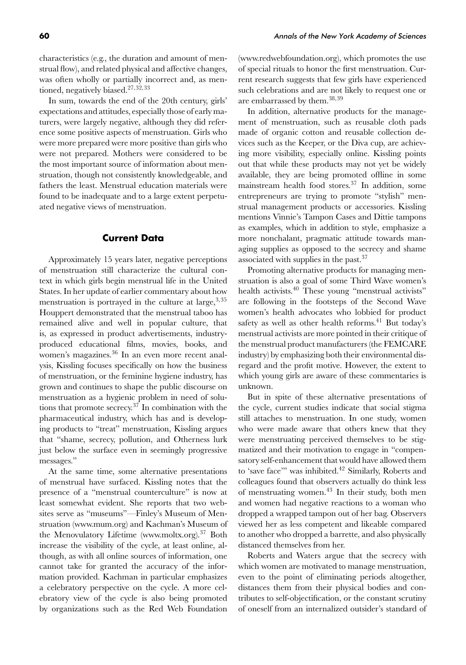characteristics (e.g., the duration and amount of menstrual flow), and related physical and affective changes, was often wholly or partially incorrect and, as mentioned, negatively biased.27*,*32*,*<sup>33</sup>

In sum, towards the end of the 20th century, girls' expectations and attitudes, especially those of early maturers, were largely negative, although they did reference some positive aspects of menstruation. Girls who were more prepared were more positive than girls who were not prepared. Mothers were considered to be the most important source of information about menstruation, though not consistently knowledgeable, and fathers the least. Menstrual education materials were found to be inadequate and to a large extent perpetuated negative views of menstruation.

## **Current Data**

Approximately 15 years later, negative perceptions of menstruation still characterize the cultural context in which girls begin menstrual life in the United States. In her update of earlier commentary about how menstruation is portrayed in the culture at large,<sup>3,35</sup> Houppert demonstrated that the menstrual taboo has remained alive and well in popular culture, that is, as expressed in product advertisements, industryproduced educational films, movies, books, and women's magazines.<sup>36</sup> In an even more recent analysis, Kissling focuses specifically on how the business of menstruation, or the feminine hygiene industry, has grown and continues to shape the public discourse on menstruation as a hygienic problem in need of solutions that promote secrecy.<sup>37</sup> In combination with the pharmaceutical industry, which has and is developing products to "treat" menstruation, Kissling argues that "shame, secrecy, pollution, and Otherness lurk just below the surface even in seemingly progressive messages."

At the same time, some alternative presentations of menstrual have surfaced. Kissling notes that the presence of a "menstrual counterculture" is now at least somewhat evident. She reports that two websites serve as "museums"—Finley's Museum of Menstruation (www.mum.org) and Kachman's Museum of the Menovulatory Lifetime (www.moltx.org).37 Both increase the visibility of the cycle, at least online, although, as with all online sources of information, one cannot take for granted the accuracy of the information provided. Kachman in particular emphasizes a celebratory perspective on the cycle. A more celebratory view of the cycle is also being promoted by organizations such as the Red Web Foundation (www.redwebfoundation.org), which promotes the use of special rituals to honor the first menstruation. Current research suggests that few girls have experienced such celebrations and are not likely to request one or are embarrassed by them.<sup>38</sup>*,*<sup>39</sup>

In addition, alternative products for the management of menstruation, such as reusable cloth pads made of organic cotton and reusable collection devices such as the Keeper, or the Diva cup, are achieving more visibility, especially online. Kissling points out that while these products may not yet be widely available, they are being promoted offline in some mainstream health food stores.37 In addition, some entrepreneurs are trying to promote "stylish" menstrual management products or accessories. Kissling mentions Vinnie's Tampon Cases and Dittie tampons as examples, which in addition to style, emphasize a more nonchalant, pragmatic attitude towards managing supplies as opposed to the secrecy and shame associated with supplies in the past.37

Promoting alternative products for managing menstruation is also a goal of some Third Wave women's health activists.<sup>40</sup> These young "menstrual activists" are following in the footsteps of the Second Wave women's health advocates who lobbied for product safety as well as other health reforms. $^{41}$  But today's menstrual activists are more pointed in their critique of the menstrual product manufacturers (the FEMCARE industry) by emphasizing both their environmental disregard and the profit motive. However, the extent to which young girls are aware of these commentaries is unknown.

But in spite of these alternative presentations of the cycle, current studies indicate that social stigma still attaches to menstruation. In one study, women who were made aware that others knew that they were menstruating perceived themselves to be stigmatized and their motivation to engage in "compensatory self-enhancement that would have allowed them to 'save face'" was inhibited.<sup>42</sup> Similarly, Roberts and colleagues found that observers actually do think less of menstruating women.<sup>43</sup> In their study, both men and women had negative reactions to a woman who dropped a wrapped tampon out of her bag. Observers viewed her as less competent and likeable compared to another who dropped a barrette, and also physically distanced themselves from her.

Roberts and Waters argue that the secrecy with which women are motivated to manage menstruation, even to the point of eliminating periods altogether, distances them from their physical bodies and contributes to self-objectification, or the constant scrutiny of oneself from an internalized outsider's standard of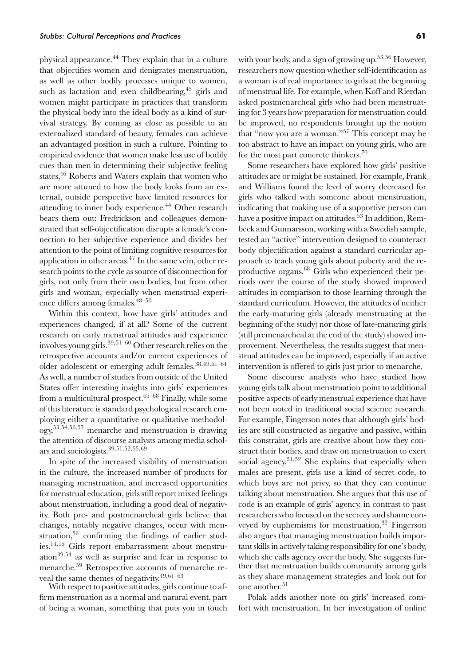physical appearance.<sup>44</sup> They explain that in a culture that objectifies women and denigrates menstruation, as well as other bodily processes unique to women, such as lactation and even childbearing, $45$  girls and women might participate in practices that transform the physical body into the ideal body as a kind of survival strategy. By coming as close as possible to an externalized standard of beauty, females can achieve an advantaged position in such a culture. Pointing to empirical evidence that women make less use of bodily cues than men in determining their subjective feeling states,<sup>46</sup> Roberts and Waters explain that women who are more attuned to how the body looks from an external, outside perspective have limited resources for attending to inner body experience.<sup>44</sup> Other research bears them out: Fredrickson and colleagues demonstrated that self-objectification disrupts a female's connection to her subjective experience and divides her attention to the point of limiting cognitive resources for application in other areas. $^{47}$  In the same vein, other research points to the cycle as source of disconnection for girls, not only from their own bodies, but from other girls and woman, especially when menstrual experience differs among females.<sup>48-50</sup>

Within this context, how have girls' attitudes and experiences changed, if at all? Some of the current research on early menstrual attitudes and experience involves young girls.<sup>39</sup>*,*51–60 Other research relies on the retrospective accounts and/or current experiences of older adolescent or emerging adult females.38*,*49*,*61–64 As well, a number of studies from outside of the United States offer interesting insights into girls' experiences from a multicultural prospect. $65-68$  Finally, while some of this literature is standard psychological research employing either a quantitative or qualitative methodology,53*,*54*,*56*,*<sup>57</sup> menarche and menstruation is drawing the attention of discourse analysts among media scholars and sociologists.<sup>39</sup>*,*51*,*52*,*55*,*<sup>69</sup>

In spite of the increased visibility of menstruation in the culture, the increased number of products for managing menstruation, and increased opportunities for menstrual education, girls still report mixed feelings about menstruation, including a good deal of negativity. Both pre- and postmenarcheal girls believe that changes, notably negative changes, occur with menstruation,<sup>56</sup> confirming the findings of earlier studies.<sup>14</sup>*,*<sup>15</sup> Girls report embarrassment about menstruation39*,*<sup>54</sup> as well as surprise and fear in response to menarche.<sup>59</sup> Retrospective accounts of menarche reveal the same themes of negativity.49*,*61–63

With respect to positive attitudes, girls continue to affirm menstruation as a normal and natural event, part of being a woman, something that puts you in touch with your body, and a sign of growing up.<sup>53</sup>*,*<sup>56</sup> However, researchers now question whether self-identification as a woman is of real importance to girls at the beginning of menstrual life. For example, when Koff and Rierdan asked postmenarcheal girls who had been menstruating for 3 years how preparation for menstruation could be improved, no respondents brought up the notion that "now you are a woman."<sup>57</sup> This concept may be too abstract to have an impact on young girls, who are for the most part concrete thinkers.<sup>70</sup>

Some researchers have explored how girls' positive attitudes are or might be sustained. For example, Frank and Williams found the level of worry decreased for girls who talked with someone about menstruation, indicating that making use of a supportive person can have a positive impact on attitudes.<sup>53</sup> In addition, Rembeck and Gunnarsson, working with a Swedish sample, tested an "active" intervention designed to counteract body objectification against a standard curricular approach to teach young girls about puberty and the reproductive organs.<sup>68</sup> Girls who experienced their periods over the course of the study showed improved attitudes in comparison to those learning through the standard curriculum. However, the attitudes of neither the early-maturing girls (already menstruating at the beginning of the study) nor those of late-maturing girls (still premenarcheal at the end of the study) showed improvement. Nevertheless, the results suggest that menstrual attitudes can be improved, especially if an active intervention is offered to girls just prior to menarche.

Some discourse analysts who have studied how young girls talk about menstruation point to additional positive aspects of early menstrual experience that have not been noted in traditional social science research. For example, Fingerson notes that although girls' bodies are still constructed as negative and passive, within this constraint, girls are creative about how they construct their bodies, and draw on menstruation to exert social agency.<sup>51,52</sup> She explains that especially when males are present, girls use a kind of secret code, to which boys are not privy, so that they can continue talking about menstruation. She argues that this use of code is an example of girls' agency, in contrast to past researchers who focused on the secrecy and shame conveyed by euphemisms for menstruation.<sup>32</sup> Fingerson also argues that managing menstruation builds important skills in actively taking responsibility for one's body, which she calls agency over the body. She suggests further that menstruation builds community among girls as they share management strategies and look out for one another.<sup>51</sup>

Polak adds another note on girls' increased comfort with menstruation. In her investigation of online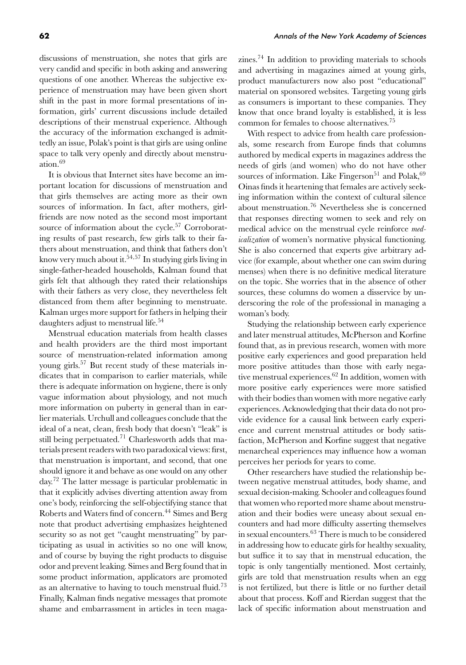discussions of menstruation, she notes that girls are very candid and specific in both asking and answering questions of one another. Whereas the subjective experience of menstruation may have been given short shift in the past in more formal presentations of information, girls' current discussions include detailed descriptions of their menstrual experience. Although the accuracy of the information exchanged is admittedly an issue, Polak's point is that girls are using online space to talk very openly and directly about menstruation.<sup>69</sup>

It is obvious that Internet sites have become an important location for discussions of menstruation and that girls themselves are acting more as their own sources of information. In fact, after mothers, girlfriends are now noted as the second most important source of information about the cycle.<sup>57</sup> Corroborating results of past research, few girls talk to their fathers about menstruation, and think that fathers don't know very much about it.<sup>54</sup>*,*<sup>57</sup> In studying girls living in single-father-headed households, Kalman found that girls felt that although they rated their relationships with their fathers as very close, they nevertheless felt distanced from them after beginning to menstruate. Kalman urges more support for fathers in helping their daughters adjust to menstrual life.<sup>54</sup>

Menstrual education materials from health classes and health providers are the third most important source of menstruation-related information among young girls.<sup>57</sup> But recent study of these materials indicates that in comparison to earlier materials, while there is adequate information on hygiene, there is only vague information about physiology, and not much more information on puberty in general than in earlier materials. Urchull and colleagues conclude that the ideal of a neat, clean, fresh body that doesn't "leak" is still being perpetuated.<sup>71</sup> Charlesworth adds that materials present readers with two paradoxical views: first, that menstruation is important, and second, that one should ignore it and behave as one would on any other day.<sup>72</sup> The latter message is particular problematic in that it explicitly advises diverting attention away from one's body, reinforcing the self-objectifying stance that Roberts and Waters find of concern.<sup>44</sup> Simes and Berg note that product advertising emphasizes heightened security so as not get "caught menstruating" by participating as usual in activities so no one will know, and of course by buying the right products to disguise odor and prevent leaking. Simes and Berg found that in some product information, applicators are promoted as an alternative to having to touch menstrual fluid.<sup>73</sup> Finally, Kalman finds negative messages that promote shame and embarrassment in articles in teen magazines.<sup>74</sup> In addition to providing materials to schools and advertising in magazines aimed at young girls, product manufacturers now also post "educational" material on sponsored websites. Targeting young girls as consumers is important to these companies. They know that once brand loyalty is established, it is less common for females to choose alternatives.75

With respect to advice from health care professionals, some research from Europe finds that columns authored by medical experts in magazines address the needs of girls (and women) who do not have other sources of information. Like Fingerson<sup>51</sup> and Polak,  $69$ Oinas finds it heartening that females are actively seeking information within the context of cultural silence about menstruation.<sup>76</sup> Nevertheless she is concerned that responses directing women to seek and rely on medical advice on the menstrual cycle reinforce *medicalization* of women's normative physical functioning. She is also concerned that experts give arbitrary advice (for example, about whether one can swim during menses) when there is no definitive medical literature on the topic. She worries that in the absence of other sources, these columns do women a disservice by underscoring the role of the professional in managing a woman's body.

Studying the relationship between early experience and later menstrual attitudes, McPherson and Korfine found that, as in previous research, women with more positive early experiences and good preparation held more positive attitudes than those with early negative menstrual experiences.62 In addition, women with more positive early experiences were more satisfied with their bodies than women with more negative early experiences. Acknowledging that their data do not provide evidence for a causal link between early experience and current menstrual attitudes or body satisfaction, McPherson and Korfine suggest that negative menarcheal experiences may influence how a woman perceives her periods for years to come.

Other researchers have studied the relationship between negative menstrual attitudes, body shame, and sexual decision-making. Schooler and colleagues found that women who reported more shame about menstruation and their bodies were uneasy about sexual encounters and had more difficulty asserting themselves in sexual encounters.<sup>63</sup> There is much to be considered in addressing how to educate girls for healthy sexuality, but suffice it to say that in menstrual education, the topic is only tangentially mentioned. Most certainly, girls are told that menstruation results when an egg is not fertilized, but there is little or no further detail about that process. Koff and Rierdan suggest that the lack of specific information about menstruation and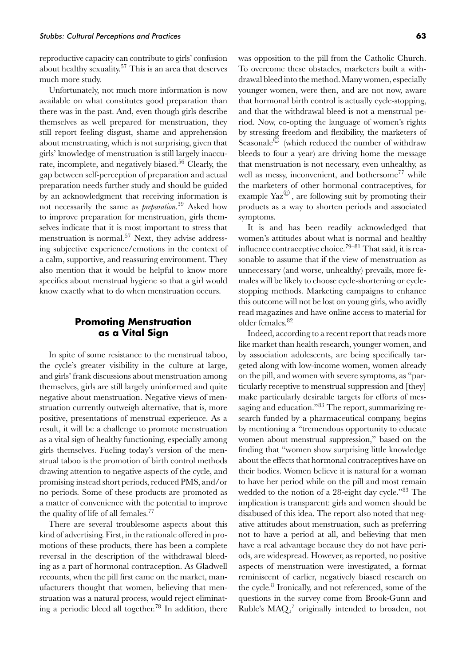reproductive capacity can contribute to girls' confusion about healthy sexuality.<sup>57</sup> This is an area that deserves much more study.

Unfortunately, not much more information is now available on what constitutes good preparation than there was in the past. And, even though girls describe themselves as well prepared for menstruation, they still report feeling disgust, shame and apprehension about menstruating, which is not surprising, given that girls' knowledge of menstruation is still largely inaccurate, incomplete, and negatively biased.<sup>56</sup> Clearly, the gap between self-perception of preparation and actual preparation needs further study and should be guided by an acknowledgment that receiving information is not necessarily the same as *preparation*. <sup>39</sup> Asked how to improve preparation for menstruation, girls themselves indicate that it is most important to stress that menstruation is normal.57 Next, they advise addressing subjective experience/emotions in the context of a calm, supportive, and reassuring environment. They also mention that it would be helpful to know more specifics about menstrual hygiene so that a girl would know exactly what to do when menstruation occurs.

# **Promoting Menstruation as a Vital Sign**

In spite of some resistance to the menstrual taboo, the cycle's greater visibility in the culture at large, and girls' frank discussions about menstruation among themselves, girls are still largely uninformed and quite negative about menstruation. Negative views of menstruation currently outweigh alternative, that is, more positive, presentations of menstrual experience. As a result, it will be a challenge to promote menstruation as a vital sign of healthy functioning, especially among girls themselves. Fueling today's version of the menstrual taboo is the promotion of birth control methods drawing attention to negative aspects of the cycle, and promising instead short periods, reduced PMS, and/or no periods. Some of these products are promoted as a matter of convenience with the potential to improve the quality of life of all females.<sup>77</sup>

There are several troublesome aspects about this kind of advertising. First, in the rationale offered in promotions of these products, there has been a complete reversal in the description of the withdrawal bleeding as a part of hormonal contraception. As Gladwell recounts, when the pill first came on the market, manufacturers thought that women, believing that menstruation was a natural process, would reject eliminating a periodic bleed all together.78 In addition, there was opposition to the pill from the Catholic Church. To overcome these obstacles, marketers built a withdrawal bleed into the method. Many women, especially younger women, were then, and are not now, aware that hormonal birth control is actually cycle-stopping, and that the withdrawal bleed is not a menstrual period. Now, co-opting the language of women's rights by stressing freedom and flexibility, the marketers of Seasonale $^{\circledcirc}$  (which reduced the number of withdraw bleeds to four a year) are driving home the message that menstruation is not necessary, even unhealthy, as well as messy, inconvenient, and bothersome $^{77}$  while the marketers of other hormonal contraceptives, for example  $\text{Yaz}^{\textcircled{\tiny{\text{c}}}}$ , are following suit by promoting their products as a way to shorten periods and associated symptoms.

It is and has been readily acknowledged that women's attitudes about what is normal and healthy influence contraceptive choice.<sup>79–81</sup> That said, it is reasonable to assume that if the view of menstruation as unnecessary (and worse, unhealthy) prevails, more females will be likely to choose cycle-shortening or cyclestopping methods. Marketing campaigns to enhance this outcome will not be lost on young girls, who avidly read magazines and have online access to material for older females.<sup>82</sup>

Indeed, according to a recent report that reads more like market than health research, younger women, and by association adolescents, are being specifically targeted along with low-income women, women already on the pill, and women with severe symptoms, as "particularly receptive to menstrual suppression and [they] make particularly desirable targets for efforts of messaging and education."<sup>83</sup> The report, summarizing research funded by a pharmaceutical company, begins by mentioning a "tremendous opportunity to educate women about menstrual suppression," based on the finding that "women show surprising little knowledge about the effects that hormonal contraceptives have on their bodies. Women believe it is natural for a woman to have her period while on the pill and most remain wedded to the notion of a 28-eight day cycle."<sup>83</sup> The implication is transparent: girls and women should be disabused of this idea. The report also noted that negative attitudes about menstruation, such as preferring not to have a period at all, and believing that men have a real advantage because they do not have periods, are widespread. However, as reported, no positive aspects of menstruation were investigated, a format reminiscent of earlier, negatively biased research on the cycle. $8$  Ironically, and not referenced, some of the questions in the survey come from Brook-Gunn and Ruble's  $MAQ$ ,<sup>7</sup> originally intended to broaden, not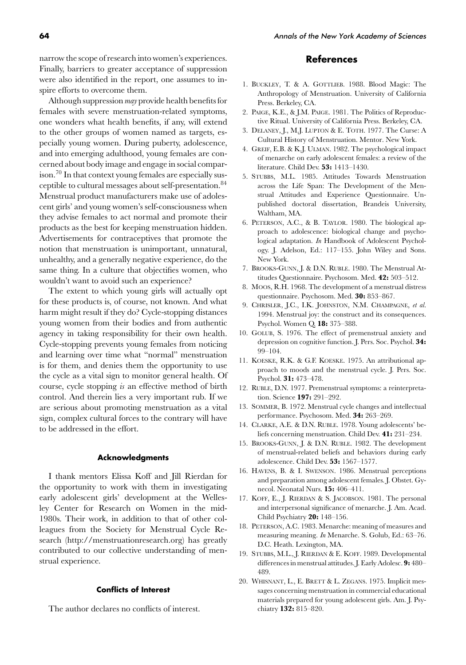narrow the scope of research into women's experiences. Finally, barriers to greater acceptance of suppression were also identified in the report, one assumes to inspire efforts to overcome them.

Although suppression*may* provide health benefits for females with severe menstruation-related symptoms, one wonders what health benefits, if any, will extend to the other groups of women named as targets, especially young women. During puberty, adolescence, and into emerging adulthood, young females are concerned about body image and engage in social comparison.<sup>70</sup> In that context young females are especially susceptible to cultural messages about self-presentation.<sup>84</sup> Menstrual product manufacturers make use of adolescent girls' and young women's self-consciousness when they advise females to act normal and promote their products as the best for keeping menstruation hidden. Advertisements for contraceptives that promote the notion that menstruation is unimportant, unnatural, unhealthy, and a generally negative experience, do the same thing. In a culture that objectifies women, who wouldn't want to avoid such an experience?

The extent to which young girls will actually opt for these products is, of course, not known. And what harm might result if they do? Cycle-stopping distances young women from their bodies and from authentic agency in taking responsibility for their own health. Cycle-stopping prevents young females from noticing and learning over time what "normal" menstruation is for them, and denies them the opportunity to use the cycle as a vital sign to monitor general health. Of course, cycle stopping *is* an effective method of birth control. And therein lies a very important rub. If we are serious about promoting menstruation as a vital sign, complex cultural forces to the contrary will have to be addressed in the effort.

#### **Acknowledgments**

I thank mentors Elissa Koff and Jill Rierdan for the opportunity to work with them in investigating early adolescent girls' development at the Wellesley Center for Research on Women in the mid-1980s. Their work, in addition to that of other colleagues from the Society for Menstrual Cycle Research (http://menstruationresearch.org) has greatly contributed to our collective understanding of menstrual experience.

### **Conflicts of Interest**

The author declares no conflicts of interest.

### **References**

- 1. BUCKLEY, T. & A. GOTTLIEB. 1988. Blood Magic: The Anthropology of Menstruation. University of California Press. Berkeley, CA.
- 2. PAIGE, K.E., & J.M. PAIGE. 1981. The Politics of Reproductive Ritual. University of California Press. Berkeley, CA.
- 3. DELANEY, J., M.J. LUPTON & E. TOTH. 1977. The Curse: A Cultural History of Menstruation. Mentor. New York.
- 4. GREIF, E.B. & K.J. ULMAN. 1982. The psychological impact of menarche on early adolescent females: a review of the literature. Child Dev. **53:** 1413–1430.
- 5. STUBBS, M.L. 1985. Attitudes Towards Menstruation across the Life Span: The Development of the Menstrual Attitudes and Experience Questionnaire. Unpublished doctoral dissertation, Brandeis University, Waltham, MA.
- 6. PETERSON, A.C., & B. TAYLOR. 1980. The biological approach to adolescence: biological change and psychological adaptation. *In* Handbook of Adolescent Psychology. J. Adelson, Ed.: 117–155. John Wiley and Sons. New York.
- 7. BROOKS-GUNN, J. & D.N. RUBLE. 1980. The Menstrual Attitudes Questionnaire. Psychosom. Med. **42:** 503–512.
- 8. MOOS, R.H. 1968. The development of a menstrual distress questionnaire. Psychosom. Med. **30:** 853–867.
- 9. CHRISLER, J.C., I.K. JOHNSTON, N.M. CHAMPAGNE, *et al.* 1994. Menstrual joy: the construct and its consequences. Psychol. Women Q. **18:** 375–388.
- 10. GOLUB, S. 1976. The effect of premenstrual anxiety and depression on cognitive function. J. Pers. Soc. Psychol. **34:** 99–104.
- 11. KOESKE, R.K. & G.F. KOESKE. 1975. An attributional approach to moods and the menstrual cycle. J. Pers. Soc. Psychol. **31:** 473–478.
- 12. RUBLE, D.N. 1977. Premenstrual symptoms: a reinterpretation. Science **197:** 291–292.
- 13. SOMMER, B. 1972. Menstrual cycle changes and intellectual performance. Psychosom. Med. **34:** 263–269.
- 14. CLARKE, A.E. & D.N. RUBLE. 1978. Young adolescents' beliefs concerning menstruation. Child Dev. **41:** 231–234.
- 15. BROOKS-GUNN, J. & D.N. RUBLE. 1982. The development of menstrual-related beliefs and behaviors during early adolescence. Child Dev. **53:** 1567–1577.
- 16. HAVENS, B. & I. SWENSON. 1986. Menstrual perceptions and preparation among adolescent females. J. Obstet. Gynecol. Neonatal Nurs. **15:** 406–411.
- 17. KOFF, E., J. RIERDAN & S. JACOBSON. 1981. The personal and interpersonal significance of menarche. J. Am. Acad. Child Psychiatry **20:** 148–156.
- 18. PETERSON, A.C. 1983. Menarche: meaning of measures and measuring meaning. *In* Menarche. S. Golub, Ed.: 63–76. D.C. Heath. Lexington, MA.
- 19. STUBBS, M.L., J. RIERDAN & E. KOFF. 1989. Developmental differences in menstrual attitudes. J. Early Adolesc. **9:** 480– 489.
- 20. WHISNANT, L., E. BRETT & L. ZEGANS. 1975. Implicit messages concerning menstruation in commercial educational materials prepared for young adolescent girls. Am. J. Psychiatry **132:** 815–820.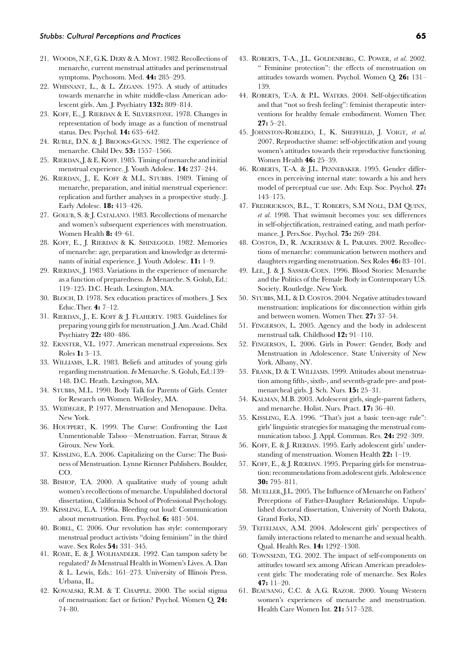- 21. WOODS, N.F., G.K. DERY & A. MOST. 1982. Recollections of menarche, current menstrual attitudes and perimenstrual symptoms. Psychosom. Med. **44:** 285–293.
- 22. WHISNANT, L., & L. ZEGANS. 1975. A study of attitudes towards menarche in white middle-class American adolescent girls. Am. J. Psychiatry **132:** 809–814.
- 23. KOFF, E., J. RIERDAN & E. SILVERSTONE. 1978. Changes in representation of body image as a function of menstrual status. Dev. Psychol. **14:** 635–642.
- 24. RUBLE, D.N. & J. BROOKS-GUNN. 1982. The experience of menarche. Child Dev. **53:** 1557–1566.
- 25. RIERDAN, J. & E. KOFF. 1985. Timing of menarche and initial menstrual experience. J. Youth Adolesc. **14:** 237–244.
- 26. RIERDAN, J., E. KOFF & M.L. STUBBS. 1989. Timing of menarche, preparation, and initial menstrual experience: replication and further analyses in a prospective study. J. Early Adolesc. **18:** 413–426.
- 27. GOLUB, S. & J. CATALANO. 1983. Recollections of menarche and women's subsequent experiences with menstruation. Women Health **8:** 49–61.
- 28. KOFF, E., J. RIERDAN & K. SHINEGOLD. 1982. Memories of menarche: age, preparation and knowledge as determinants of initial experience. J. Youth Adolesc. **11:** 1–9.
- 29. RIERDAN, J. 1983. Variations in the experience of menarche as a function of preparedness. *In* Menarche. S. Golub, Ed.: 119–125. D.C. Heath. Lexington, MA.
- 30. BLOCH, D. 1978. Sex education practices of mothers. J. Sex Educ.Ther. **4:** 7–12.
- 31. RIERDAN, J., E. KOFF & J. FLAHERTY. 1983. Guidelines for preparing young girls for menstruation. J. Am. Acad. Child Psychiatry **22:** 480–486.
- 32. ERNSTER, V.L. 1977. American menstrual expressions. Sex Roles **1:** 3–13.
- 33. WILLIAMS, L.R. 1983. Beliefs and attitudes of young girls regarding menstruation. *In* Menarche. S. Golub, Ed.:139– 148. D.C. Heath. Lexington, MA.
- 34. STUBBS, M.L. 1990. Body Talk for Parents of Girls. Center for Research on Women. Wellesley, MA.
- 35. WEIDEGER, P. 1977. Menstruation and Menopause. Delta. New York.
- 36. HOUPPERT, K. 1999. The Curse: Confronting the Last Unmentionable Taboo—Menstruation. Farrar, Straus & Giroux. New York.
- 37. KISSLING, E.A. 2006. Capitalizing on the Curse: The Business of Menstruation. Lynne Rienner Publishers. Boulder, CO.
- 38. BISHOP, T.A. 2000. A qualitative study of young adult women's recollections of menarche. Unpublished doctoral dissertation, California School of Professional Psychology.
- 39. KISSLING, E.A. 1996a. Bleeding out loud: Communication about menstruation. Fem. Psychol. **6:** 481–504.
- 40. BOBEL, C. 2006. Our revolution has style: contemporary menstrual product activists "doing feminism" in the third wave. Sex Roles **54:** 331–345.
- 41. ROME, E. & J. WOLHANDLER. 1992. Can tampon safety be regulated? *In* Menstrual Health in Women's Lives. A. Dan & L. Lewis, Eds.: 161–273. University of Illinois Press. Urbana, IL.
- 42. KOWALSKI, R.M. & T. CHAPPLE. 2000. The social stigma of menstruation: fact or fiction? Psychol. Women Q. **24:** 74–80.
- 43. ROBERTS, T-A., J.L. GOLDENBERG, C. POWER, *et al.* 2002. " Feminine protection": the effects of menstruation on attitudes towards women. Psychol. Women Q. **26:** 131– 139.
- 44. ROBERTS, T.-A. & P.L. WATERS. 2004. Self-objectification and that "not so fresh feeling": feminist therapeutic interventions for healthy female embodiment. Women Ther. **27:** 5–21.
- 45. JOHNSTON-ROBLEDO, I., K. SHEFFIELD, J. VOIGT, *et al.* 2007. Reproductive shame: self-objectification and young women's attitudes towards their reproductive functioning. Women Health **46:** 25–39.
- 46. ROBERTS, T.-A. & J.L. PENNEBAKER. 1995. Gender differences in perceiving internal state: towards a his and hers model of perceptual cue use. Adv. Exp. Soc. Psychol. **27:** 143–175.
- 47. FREDRICKSON, B.L., T. ROBERTS, S.M NOLL, D.M QUINN, *et al.* 1998. That swimsuit becomes you: sex differences in self-objectification, restrained eating, and math performance. J. Pers.Soc. Psychol. **75:** 269–284.
- 48. COSTOS, D., R. ACKERMAN & L. PARADIS. 2002. Recollections of menarche: communication between mothers and daughters regarding menstruation. Sex Roles **46:** 83–101.
- 49. LEE, J. & J. SASSER-COEN. 1996. Blood Stories: Menarche and the Politics of the Female Body in Contemporary U.S. Society. Routledge. New York.
- 50. STUBBS, M.L. & D. COSTOS. 2004. Negative attitudes toward menstruation: implications for disconnection within girls and between women. Women Ther. **27:** 37–54.
- 51. FINGERSON, L. 2005. Agency and the body in adolescent menstrual talk. Childhood **12:** 91–110.
- 52. FINGERSON, L. 2006. Girls in Power: Gender, Body and Menstruation in Adolescence. State University of New York. Albany, NY.
- 53. FRANK, D. & T. WILLIAMS. 1999. Attitudes about menstruation among fifth-, sixth-, and seventh-grade pre- and postmenarcheal girls. J. Sch. Nurs. **15:** 25–31.
- 54. KALMAN, M.B. 2003. Adolescent girls, single-parent fathers, and menarche. Holist. Nurs. Pract. **17:** 36–40.
- 55. KISSLING, E.A. 1996. "That's just a basic teen-age rule": girls' linguistic strategies for managing the menstrual communication taboo. J. Appl. Commun. Res. **24:** 292–309.
- 56. KOFF, E. & J. RIERDAN. 1995. Early adolescent girls' understanding of menstruation. Women Health **22:** 1–19.
- 57. KOFF, E., & J. RIERDAN. 1995. Preparing girls for menstruation: recommendations from adolescent girls. Adolescence **30:** 795–811.
- 58. MUELLER, J.L. 2005. The Influence of Menarche on Fathers' Perceptions of Father-Daughter Relationships. Unpublished doctoral dissertation, University of North Dakota, Grand Forks, ND.
- 59. TEITELMAN, A.M. 2004. Adolescent girls' perspectives of family interactions related to menarche and sexual health. Qual. Health Res. **14:** 1292–1308.
- 60. TOWNSEND, T.G. 2002. The impact of self-components on attitudes toward sex among African American preadolescent girls: The moderating role of menarche. Sex Roles **47:** 11–20.
- 61. BEAUSANG, C.C. & A.G. RAZOR. 2000. Young Western women's experiences of menarche and menstruation. Health Care Women Int. **21:** 517–528.